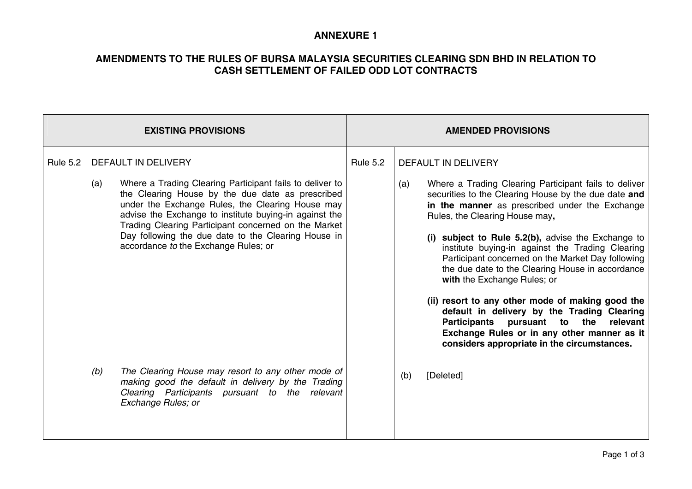## **ANNEXURE 1**

# **AMENDMENTS TO THE RULES OF BURSA MALAYSIA SECURITIES CLEARING SDN BHD IN RELATION TO CASH SETTLEMENT OF FAILED ODD LOT CONTRACTS**

| <b>EXISTING PROVISIONS</b> |                                                                                                                                                                                                                                                                                                                                                                                                                 | <b>AMENDED PROVISIONS</b> |                                                                                                                                                                                                                                                                                                                                                                                                                                                                                                                                       |
|----------------------------|-----------------------------------------------------------------------------------------------------------------------------------------------------------------------------------------------------------------------------------------------------------------------------------------------------------------------------------------------------------------------------------------------------------------|---------------------------|---------------------------------------------------------------------------------------------------------------------------------------------------------------------------------------------------------------------------------------------------------------------------------------------------------------------------------------------------------------------------------------------------------------------------------------------------------------------------------------------------------------------------------------|
| <b>Rule 5.2</b>            | DEFAULT IN DELIVERY<br>Where a Trading Clearing Participant fails to deliver to<br>(a)<br>the Clearing House by the due date as prescribed<br>under the Exchange Rules, the Clearing House may<br>advise the Exchange to institute buying-in against the<br>Trading Clearing Participant concerned on the Market<br>Day following the due date to the Clearing House in<br>accordance to the Exchange Rules; or | <b>Rule 5.2</b>           | DEFAULT IN DELIVERY<br>Where a Trading Clearing Participant fails to deliver<br>(a)<br>securities to the Clearing House by the due date and<br>in the manner as prescribed under the Exchange<br>Rules, the Clearing House may,<br>(i) subject to Rule 5.2(b), advise the Exchange to<br>institute buying-in against the Trading Clearing<br>Participant concerned on the Market Day following<br>the due date to the Clearing House in accordance<br>with the Exchange Rules; or<br>(ii) resort to any other mode of making good the |
|                            | The Clearing House may resort to any other mode of<br>(b)<br>making good the default in delivery by the Trading<br>Clearing Participants pursuant to the relevant<br>Exchange Rules; or                                                                                                                                                                                                                         |                           | default in delivery by the Trading Clearing<br>Participants pursuant to the<br>relevant<br>Exchange Rules or in any other manner as it<br>considers appropriate in the circumstances.<br>[Deleted]<br>(b)                                                                                                                                                                                                                                                                                                                             |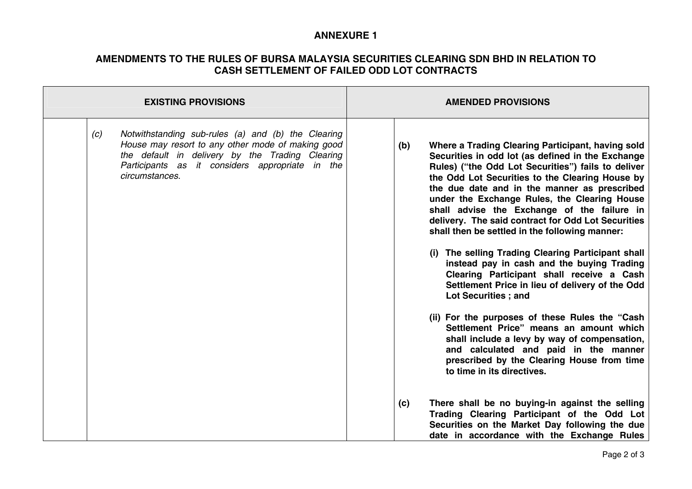## **ANNEXURE 1**

## **AMENDMENTS TO THE RULES OF BURSA MALAYSIA SECURITIES CLEARING SDN BHD IN RELATION TO CASH SETTLEMENT OF FAILED ODD LOT CONTRACTS**

| <b>EXISTING PROVISIONS</b>                                                                                                                                                                                                             | <b>AMENDED PROVISIONS</b>                                                                                                                                                                                                                                                                                                                                                                                                                                                                                                                                                                                                                                                                                                                                                                                                                               |  |
|----------------------------------------------------------------------------------------------------------------------------------------------------------------------------------------------------------------------------------------|---------------------------------------------------------------------------------------------------------------------------------------------------------------------------------------------------------------------------------------------------------------------------------------------------------------------------------------------------------------------------------------------------------------------------------------------------------------------------------------------------------------------------------------------------------------------------------------------------------------------------------------------------------------------------------------------------------------------------------------------------------------------------------------------------------------------------------------------------------|--|
| Notwithstanding sub-rules (a) and (b) the Clearing<br>(c)<br>House may resort to any other mode of making good<br>the default in delivery by the Trading Clearing<br>Participants as it considers appropriate in the<br>circumstances. | Where a Trading Clearing Participant, having sold<br>(b)<br>Securities in odd lot (as defined in the Exchange<br>Rules) ("the Odd Lot Securities") fails to deliver<br>the Odd Lot Securities to the Clearing House by<br>the due date and in the manner as prescribed<br>under the Exchange Rules, the Clearing House<br>shall advise the Exchange of the failure in<br>delivery. The said contract for Odd Lot Securities<br>shall then be settled in the following manner:<br>(i) The selling Trading Clearing Participant shall<br>instead pay in cash and the buying Trading<br>Clearing Participant shall receive a Cash<br>Settlement Price in lieu of delivery of the Odd<br>Lot Securities ; and<br>(ii) For the purposes of these Rules the "Cash"<br>Settlement Price" means an amount which<br>shall include a levy by way of compensation, |  |
|                                                                                                                                                                                                                                        | and calculated and paid in the manner<br>prescribed by the Clearing House from time<br>to time in its directives.<br>There shall be no buying-in against the selling<br>(c)<br>Trading Clearing Participant of the Odd Lot<br>Securities on the Market Day following the due                                                                                                                                                                                                                                                                                                                                                                                                                                                                                                                                                                            |  |
|                                                                                                                                                                                                                                        | date in accordance with the Exchange Rules                                                                                                                                                                                                                                                                                                                                                                                                                                                                                                                                                                                                                                                                                                                                                                                                              |  |